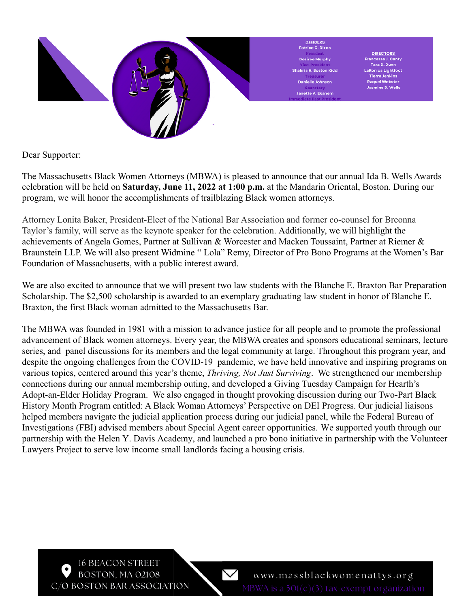

Dear Supporter:

The Massachusetts Black Women Attorneys (MBWA) is pleased to announce that our annual Ida B. Wells Awards celebration will be held on **Saturday, June 11, 2022 at 1:00 p.m.** at the Mandarin Oriental, Boston. During our program, we will honor the accomplishments of trailblazing Black women attorneys.

Attorney Lonita Baker, President-Elect of the National Bar Association and former co-counsel for Breonna Taylor's family, will serve as the keynote speaker for the celebration. Additionally, we will highlight the achievements of Angela Gomes, Partner at Sullivan & Worcester and Macken Toussaint, Partner at Riemer & Braunstein LLP. We will also present Widmine " Lola" Remy, Director of Pro Bono Programs at the Women's Bar Foundation of Massachusetts, with a public interest award.

We are also excited to announce that we will present two law students with the Blanche E. Braxton Bar Preparation Scholarship. The \$2,500 scholarship is awarded to an exemplary graduating law student in honor of Blanche E. Braxton, the first Black woman admitted to the Massachusetts Bar.

The MBWA was founded in 1981 with a mission to advance justice for all people and to promote the professional advancement of Black women attorneys. Every year, the MBWA creates and sponsors educational seminars, lecture series, and panel discussions for its members and the legal community at large. Throughout this program year, and despite the ongoing challenges from the COVID-19 pandemic, we have held innovative and inspiring programs on various topics, centered around this year's theme, *Thriving, Not Just Surviving*. We strengthened our membership connections during our annual membership outing, and developed a Giving Tuesday Campaign for Hearth's Adopt-an-Elder Holiday Program. We also engaged in thought provoking discussion during our Two-Part Black History Month Program entitled: A Black Woman Attorneys' Perspective on DEI Progress. Our judicial liaisons helped members navigate the judicial application process during our judicial panel, while the Federal Bureau of Investigations (FBI) advised members about Special Agent career opportunities. We supported youth through our partnership with the Helen Y. Davis Academy, and launched a pro bono initiative in partnership with the Volunteer Lawyers Project to serve low income small landlords facing a housing crisis.

**16 BEACON STREET** BOSTON, MA 02108 C/O BOSTON BAR ASSOCIATION

 $\boldsymbol{\vee}$